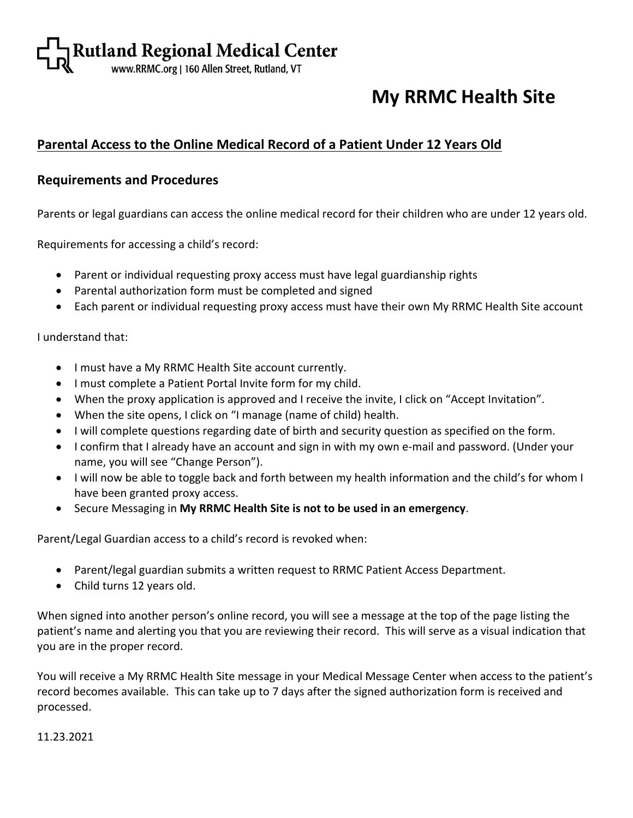# **My RRMC Health Site**

### **Parental Access to the Online Medical Record of a Patient Under 12 Years Old**

### **Requirements and Procedures**

Parents or legal guardians can access the online medical record for their children who are under 12 years old.

Requirements for accessing a child's record:

- Parent or individual requesting proxy access must have legal guardianship rights
- Parental authorization form must be completed and signed
- Each parent or individual requesting proxy access must have their own My RRMC Health Site account

I understand that:

- I must have a My RRMC Health Site account currently.
- I must complete a Patient Portal Invite form for my child.
- When the proxy application is approved and I receive the invite, I click on "Accept Invitation".
- When the site opens, I click on "I manage (name of child) health.
- I will complete questions regarding date of birth and security question as specified on the form.
- I confirm that I already have an account and sign in with my own e-mail and password. (Under your name, you will see "Change Person").
- I will now be able to toggle back and forth between my health information and the child's for whom I have been granted proxy access.
- Secure Messaging in **My RRMC Health Site is not to be used in an emergency**.

Parent/Legal Guardian access to a child's record is revoked when:

- Parent/legal guardian submits a written request to RRMC Patient Access Department.
- Child turns 12 years old.

When signed into another person's online record, you will see a message at the top of the page listing the patient's name and alerting you that you are reviewing their record. This will serve as a visual indication that you are in the proper record.

You will receive a My RRMC Health Site message in your Medical Message Center when access to the patient's record becomes available. This can take up to 7 days after the signed authorization form is received and processed.

11.23.2021